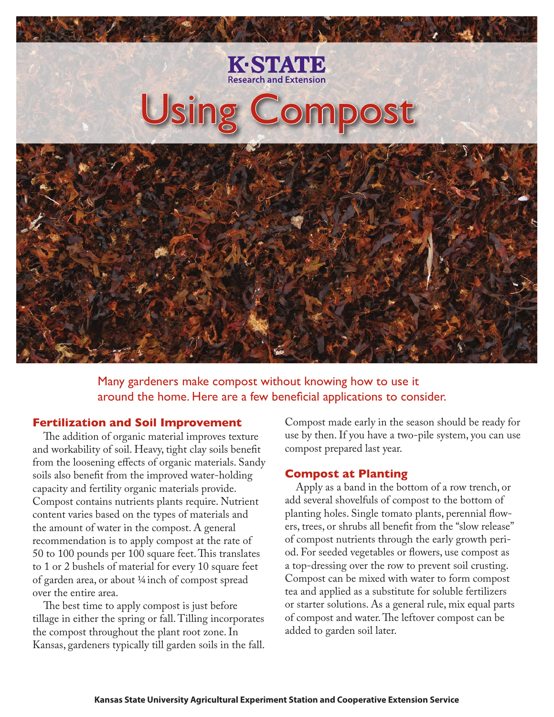

Many gardeners make compost without knowing how to use it around the home. Here are a few beneficial applications to consider.

## **Fertilization and Soil Improvement**

The addition of organic material improves texture and workability of soil. Heavy, tight clay soils benefit from the loosening effects of organic materials. Sandy soils also benefit from the improved water-holding capacity and fertility organic materials provide. Compost contains nutrients plants require. Nutrient content varies based on the types of materials and the amount of water in the compost. A general recommendation is to apply compost at the rate of 50 to 100 pounds per 100 square feet. This translates to 1 or 2 bushels of material for every 10 square feet of garden area, or about 1/4 inch of compost spread over the entire area.

The best time to apply compost is just before tillage in either the spring or fall. Tilling incorporates the compost throughout the plant root zone. In Kansas, gardeners typically till garden soils in the fall. Compost made early in the season should be ready for use by then. If you have a two-pile system, you can use compost prepared last year.

## **Compost at Planting**

Apply as a band in the bottom of a row trench, or add several shovelfuls of compost to the bottom of planting holes. Single tomato plants, perennial flowers, trees, or shrubs all benefit from the "slow release" of compost nutrients through the early growth period. For seeded vegetables or flowers, use compost as a top-dressing over the row to prevent soil crusting. Compost can be mixed with water to form compost tea and applied as a substitute for soluble fertilizers or starter solutions. As a general rule, mix equal parts of compost and water. The leftover compost can be added to garden soil later.